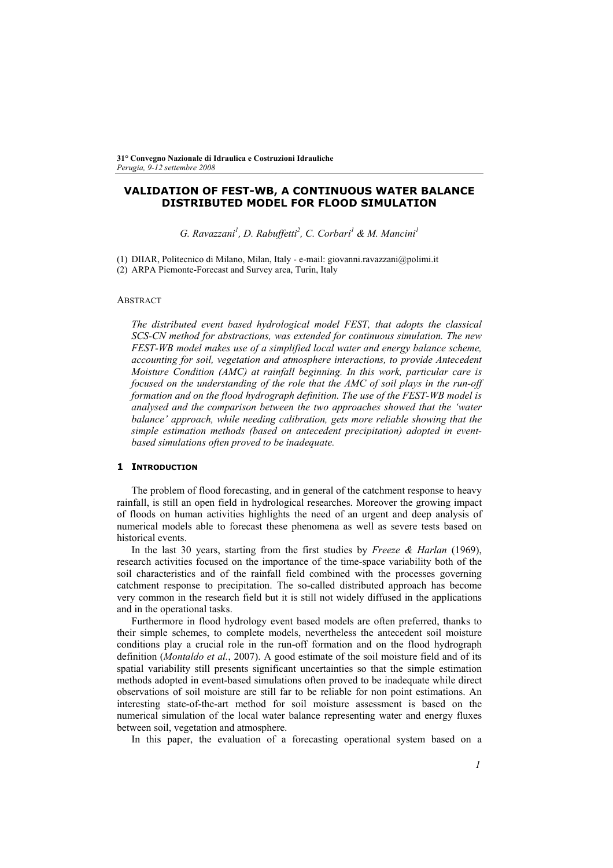# **VALIDATION OF FEST-WB, A CONTINUOUS WATER BALANCE DISTRIBUTED MODEL FOR FLOOD SIMULATION**

*G. Ravazzani<sup>1</sup>, D. Rabuffetti<sup>2</sup>, C. Corbari<sup>1</sup> & M. Mancini<sup>1</sup>* 

(1) DIIAR, Politecnico di Milano, Milan, Italy - e-mail: giovanni.ravazzani@polimi.it

(2) ARPA Piemonte-Forecast and Survey area, Turin, Italy

## **ABSTRACT**

*The distributed event based hydrological model FEST, that adopts the classical SCS-CN method for abstractions, was extended for continuous simulation. The new FEST-WB model makes use of a simplified local water and energy balance scheme, accounting for soil, vegetation and atmosphere interactions, to provide Antecedent Moisture Condition (AMC) at rainfall beginning. In this work, particular care is focused on the understanding of the role that the AMC of soil plays in the run-off formation and on the flood hydrograph definition. The use of the FEST-WB model is analysed and the comparison between the two approaches showed that the 'water balance' approach, while needing calibration, gets more reliable showing that the simple estimation methods (based on antecedent precipitation) adopted in eventbased simulations often proved to be inadequate.* 

## **1 INTRODUCTION**

The problem of flood forecasting, and in general of the catchment response to heavy rainfall, is still an open field in hydrological researches. Moreover the growing impact of floods on human activities highlights the need of an urgent and deep analysis of numerical models able to forecast these phenomena as well as severe tests based on historical events.

In the last 30 years, starting from the first studies by *Freeze & Harlan* (1969), research activities focused on the importance of the time-space variability both of the soil characteristics and of the rainfall field combined with the processes governing catchment response to precipitation. The so-called distributed approach has become very common in the research field but it is still not widely diffused in the applications and in the operational tasks.

Furthermore in flood hydrology event based models are often preferred, thanks to their simple schemes, to complete models, nevertheless the antecedent soil moisture conditions play a crucial role in the run-off formation and on the flood hydrograph definition (*Montaldo et al.*, 2007). A good estimate of the soil moisture field and of its spatial variability still presents significant uncertainties so that the simple estimation methods adopted in event-based simulations often proved to be inadequate while direct observations of soil moisture are still far to be reliable for non point estimations. An interesting state-of-the-art method for soil moisture assessment is based on the numerical simulation of the local water balance representing water and energy fluxes between soil, vegetation and atmosphere.

In this paper, the evaluation of a forecasting operational system based on a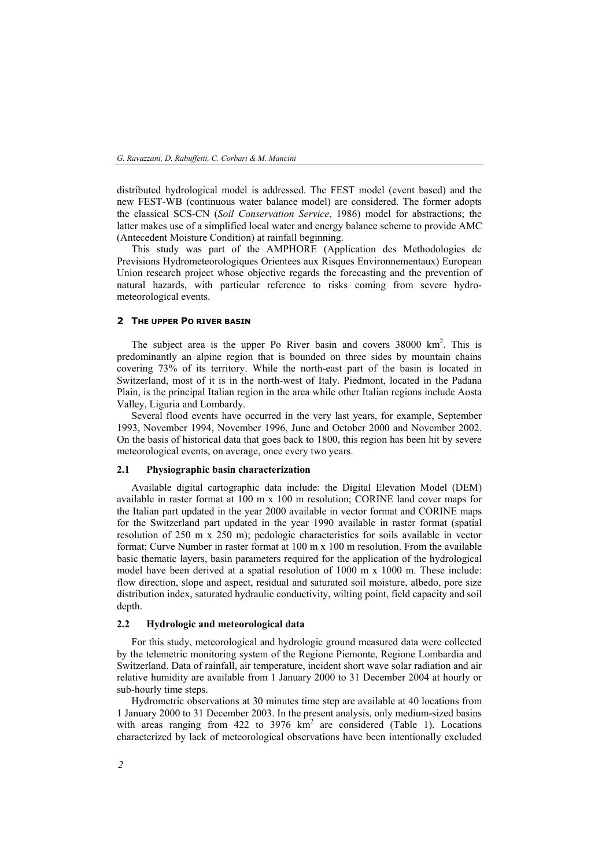distributed hydrological model is addressed. The FEST model (event based) and the new FEST-WB (continuous water balance model) are considered. The former adopts the classical SCS-CN (*Soil Conservation Service*, 1986) model for abstractions; the latter makes use of a simplified local water and energy balance scheme to provide AMC (Antecedent Moisture Condition) at rainfall beginning.

This study was part of the AMPHORE (Application des Methodologies de Previsions Hydrometeorologiques Orientees aux Risques Environnementaux) European Union research project whose objective regards the forecasting and the prevention of natural hazards, with particular reference to risks coming from severe hydrometeorological events.

## **2 THE UPPER PO RIVER BASIN**

The subject area is the upper Po River basin and covers  $38000 \text{ km}^2$ . This is predominantly an alpine region that is bounded on three sides by mountain chains covering 73% of its territory. While the north-east part of the basin is located in Switzerland, most of it is in the north-west of Italy. Piedmont, located in the Padana Plain, is the principal Italian region in the area while other Italian regions include Aosta Valley, Liguria and Lombardy.

Several flood events have occurred in the very last years, for example, September 1993, November 1994, November 1996, June and October 2000 and November 2002. On the basis of historical data that goes back to 1800, this region has been hit by severe meteorological events, on average, once every two years.

#### **2.1 Physiographic basin characterization**

Available digital cartographic data include: the Digital Elevation Model (DEM) available in raster format at 100 m x 100 m resolution; CORINE land cover maps for the Italian part updated in the year 2000 available in vector format and CORINE maps for the Switzerland part updated in the year 1990 available in raster format (spatial resolution of 250 m x 250 m); pedologic characteristics for soils available in vector format; Curve Number in raster format at 100 m x 100 m resolution. From the available basic thematic layers, basin parameters required for the application of the hydrological model have been derived at a spatial resolution of 1000 m x 1000 m. These include: flow direction, slope and aspect, residual and saturated soil moisture, albedo, pore size distribution index, saturated hydraulic conductivity, wilting point, field capacity and soil depth.

## **2.2 Hydrologic and meteorological data**

For this study, meteorological and hydrologic ground measured data were collected by the telemetric monitoring system of the Regione Piemonte, Regione Lombardia and Switzerland. Data of rainfall, air temperature, incident short wave solar radiation and air relative humidity are available from 1 January 2000 to 31 December 2004 at hourly or sub-hourly time steps.

Hydrometric observations at 30 minutes time step are available at 40 locations from 1 January 2000 to 31 December 2003. In the present analysis, only medium-sized basins with areas ranging from  $422$  to  $3976 \text{ km}^2$  are considered (Table 1). Locations characterized by lack of meteorological observations have been intentionally excluded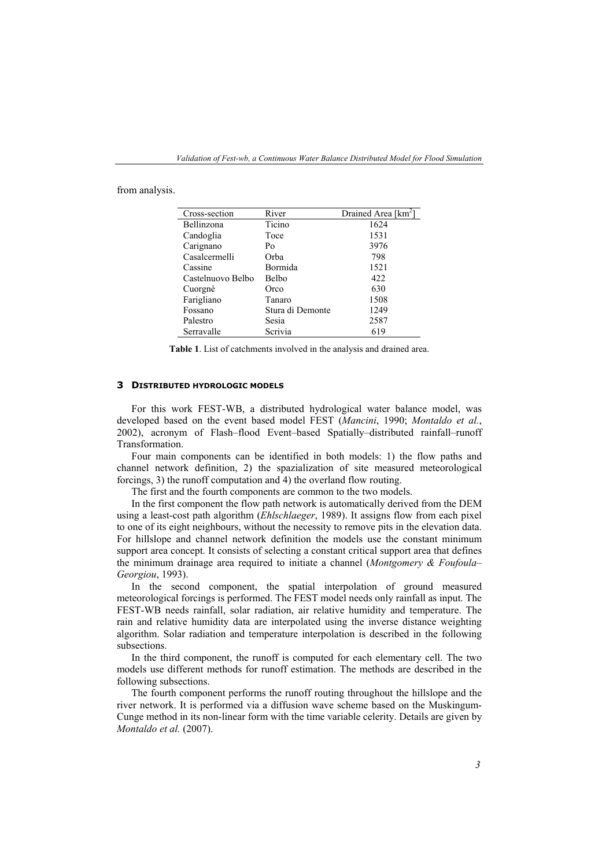| Cross-section     | River            | Drained Area [km <sup>2</sup> ] |
|-------------------|------------------|---------------------------------|
| Bellinzona        | Ticino           | 1624                            |
| Candoglia         | Toce             | 1531                            |
| Carignano         | Po               | 3976                            |
| Casalcermelli     | Orba             | 798                             |
| Cassine           | Bormida          | 1521                            |
| Castelnuovo Belbo | <b>Belbo</b>     | 422                             |
| Cuorgnè           | Orco             | 630                             |
| Farigliano        | Tanaro           | 1508                            |
| Fossano           | Stura di Demonte | 1249                            |
| Palestro          | Sesia            | 2587                            |
| Serravalle        | Scrivia          | 619                             |

from analysis.

**Table 1**. List of catchments involved in the analysis and drained area.

#### **3 DISTRIBUTED HYDROLOGIC MODELS**

For this work FEST-WB, a distributed hydrological water balance model, was developed based on the event based model FEST (*Mancini*, 1990; *Montaldo et al.*, 2002), acronym of Flash–flood Event–based Spatially–distributed rainfall–runoff Transformation.

Four main components can be identified in both models: 1) the flow paths and channel network definition, 2) the spazialization of site measured meteorological forcings, 3) the runoff computation and 4) the overland flow routing.

The first and the fourth components are common to the two models.

In the first component the flow path network is automatically derived from the DEM using a least-cost path algorithm (*Ehlschlaeger*, 1989). It assigns flow from each pixel to one of its eight neighbours, without the necessity to remove pits in the elevation data. For hillslope and channel network definition the models use the constant minimum support area concept. It consists of selecting a constant critical support area that defines the minimum drainage area required to initiate a channel (*Montgomery & Foufoula– Georgiou*, 1993).

In the second component, the spatial interpolation of ground measured meteorological forcings is performed. The FEST model needs only rainfall as input. The FEST-WB needs rainfall, solar radiation, air relative humidity and temperature. The rain and relative humidity data are interpolated using the inverse distance weighting algorithm. Solar radiation and temperature interpolation is described in the following subsections.

In the third component, the runoff is computed for each elementary cell. The two models use different methods for runoff estimation. The methods are described in the following subsections.

The fourth component performs the runoff routing throughout the hillslope and the river network. It is performed via a diffusion wave scheme based on the Muskingum-Cunge method in its non-linear form with the time variable celerity. Details are given by *Montaldo et al.* (2007).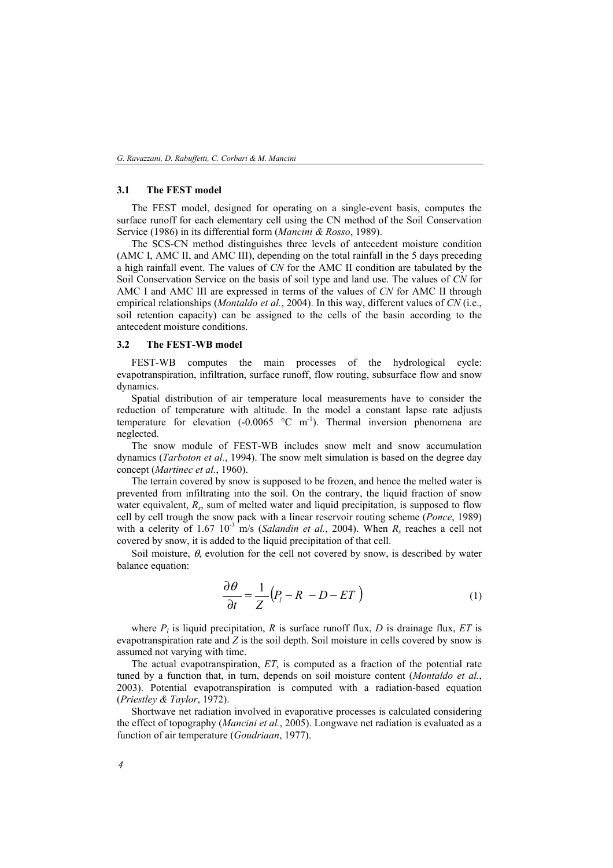#### **3.1 The FEST model**

The FEST model, designed for operating on a single-event basis, computes the surface runoff for each elementary cell using the CN method of the Soil Conservation Service (1986) in its differential form (*Mancini & Rosso*, 1989).

The SCS-CN method distinguishes three levels of antecedent moisture condition (AMC I, AMC II, and AMC III), depending on the total rainfall in the 5 days preceding a high rainfall event. The values of *CN* for the AMC II condition are tabulated by the Soil Conservation Service on the basis of soil type and land use. The values of *CN* for AMC I and AMC III are expressed in terms of the values of *CN* for AMC II through empirical relationships (*Montaldo et al.*, 2004). In this way, different values of *CN* (i.e., soil retention capacity) can be assigned to the cells of the basin according to the antecedent moisture conditions.

#### **3.2 The FEST-WB model**

FEST-WB computes the main processes of the hydrological cycle: evapotranspiration, infiltration, surface runoff, flow routing, subsurface flow and snow dynamics.

Spatial distribution of air temperature local measurements have to consider the reduction of temperature with altitude. In the model a constant lapse rate adjusts temperature for elevation  $(-0.0065 \degree C \text{ m}^{-1})$ . Thermal inversion phenomena are neglected.

The snow module of FEST-WB includes snow melt and snow accumulation dynamics (*Tarboton et al.*, 1994). The snow melt simulation is based on the degree day concept (*Martinec et al.*, 1960).

The terrain covered by snow is supposed to be frozen, and hence the melted water is prevented from infiltrating into the soil. On the contrary, the liquid fraction of snow water equivalent, *R<sub>s</sub>*, sum of melted water and liquid precipitation, is supposed to flow cell by cell trough the snow pack with a linear reservoir routing scheme (*Ponce*, 1989) with a celerity of  $1.67 \times 10^{-3}$  m/s (*Salandin et al.*, 2004). When  $R_s$  reaches a cell not covered by snow, it is added to the liquid precipitation of that cell.

Soil moisture,  $\theta$ , evolution for the cell not covered by snow, is described by water balance equation:

$$
\frac{\partial \theta}{\partial t} = \frac{1}{Z} \left( P_l - R - D - ET \right) \tag{1}
$$

where  $P_l$  is liquid precipitation,  $R$  is surface runoff flux,  $D$  is drainage flux,  $ET$  is evapotranspiration rate and *Z* is the soil depth. Soil moisture in cells covered by snow is assumed not varying with time.

The actual evapotranspiration, *ET*, is computed as a fraction of the potential rate tuned by a function that, in turn, depends on soil moisture content (*Montaldo et al.*, 2003). Potential evapotranspiration is computed with a radiation-based equation (*Priestley & Taylor*, 1972).

Shortwave net radiation involved in evaporative processes is calculated considering the effect of topography (*Mancini et al.*, 2005). Longwave net radiation is evaluated as a function of air temperature (*Goudriaan*, 1977).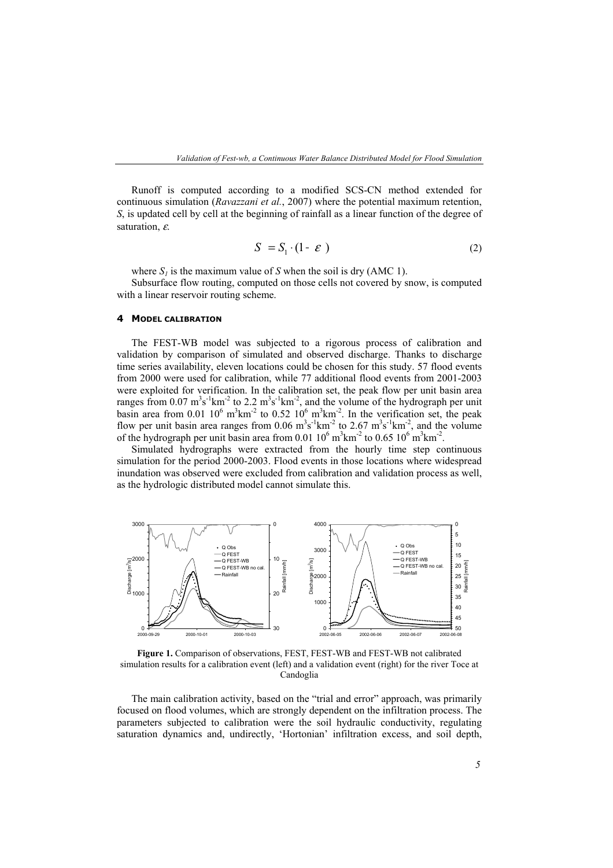Runoff is computed according to a modified SCS-CN method extended for continuous simulation (*Ravazzani et al.*, 2007) where the potential maximum retention, *S*, is updated cell by cell at the beginning of rainfall as a linear function of the degree of saturation, ε.

$$
S = S_1 \cdot (1 - \varepsilon) \tag{2}
$$

where  $S_l$  is the maximum value of *S* when the soil is dry (AMC 1).

Subsurface flow routing, computed on those cells not covered by snow, is computed with a linear reservoir routing scheme.

#### **4 MODEL CALIBRATION**

The FEST-WB model was subjected to a rigorous process of calibration and validation by comparison of simulated and observed discharge. Thanks to discharge time series availability, eleven locations could be chosen for this study. 57 flood events from 2000 were used for calibration, while 77 additional flood events from 2001-2003 were exploited for verification. In the calibration set, the peak flow per unit basin area ranges from  $0.07 \text{ m}^3\text{s}^{-1}\text{km}^{-2}$  to  $2.2 \text{ m}^3\text{s}^{-1}\text{km}^{-2}$ , and the volume of the hydrograph per unit basin area from 0.01  $10^6$  m<sup>3</sup>km<sup>-2</sup> to 0.52  $10^6$  m<sup>3</sup>km<sup>-2</sup>. In the verification set, the peak flow per unit basin area ranges from  $0.06 \text{ m}^3\text{s}^{-1}\text{km}^{-2}$  to  $2.67 \text{ m}^3\text{s}^{-1}\text{km}^{-2}$ , and the volume of the hydrograph per unit basin area from 0.01  $10^6$  m<sup>3</sup>km<sup>-2</sup> to 0.65  $10^6$  m<sup>3</sup>km<sup>-2</sup>.

Simulated hydrographs were extracted from the hourly time step continuous simulation for the period 2000-2003. Flood events in those locations where widespread inundation was observed were excluded from calibration and validation process as well, as the hydrologic distributed model cannot simulate this.



**Figure 1.** Comparison of observations, FEST, FEST-WB and FEST-WB not calibrated simulation results for a calibration event (left) and a validation event (right) for the river Toce at Candoglia

The main calibration activity, based on the "trial and error" approach, was primarily focused on flood volumes, which are strongly dependent on the infiltration process. The parameters subjected to calibration were the soil hydraulic conductivity, regulating saturation dynamics and, undirectly, 'Hortonian' infiltration excess, and soil depth,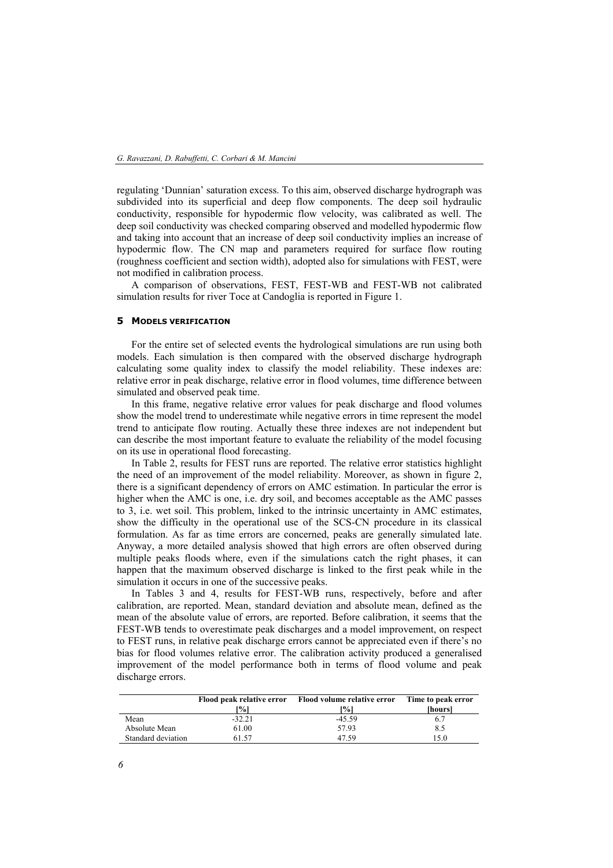regulating 'Dunnian' saturation excess. To this aim, observed discharge hydrograph was subdivided into its superficial and deep flow components. The deep soil hydraulic conductivity, responsible for hypodermic flow velocity, was calibrated as well. The deep soil conductivity was checked comparing observed and modelled hypodermic flow and taking into account that an increase of deep soil conductivity implies an increase of hypodermic flow. The CN map and parameters required for surface flow routing (roughness coefficient and section width), adopted also for simulations with FEST, were not modified in calibration process.

A comparison of observations, FEST, FEST-WB and FEST-WB not calibrated simulation results for river Toce at Candoglia is reported in Figure 1.

## **5 MODELS VERIFICATION**

For the entire set of selected events the hydrological simulations are run using both models. Each simulation is then compared with the observed discharge hydrograph calculating some quality index to classify the model reliability. These indexes are: relative error in peak discharge, relative error in flood volumes, time difference between simulated and observed peak time.

In this frame, negative relative error values for peak discharge and flood volumes show the model trend to underestimate while negative errors in time represent the model trend to anticipate flow routing. Actually these three indexes are not independent but can describe the most important feature to evaluate the reliability of the model focusing on its use in operational flood forecasting.

In Table 2, results for FEST runs are reported. The relative error statistics highlight the need of an improvement of the model reliability. Moreover, as shown in figure 2, there is a significant dependency of errors on AMC estimation. In particular the error is higher when the AMC is one, i.e. dry soil, and becomes acceptable as the AMC passes to 3, i.e. wet soil. This problem, linked to the intrinsic uncertainty in AMC estimates, show the difficulty in the operational use of the SCS-CN procedure in its classical formulation. As far as time errors are concerned, peaks are generally simulated late. Anyway, a more detailed analysis showed that high errors are often observed during multiple peaks floods where, even if the simulations catch the right phases, it can happen that the maximum observed discharge is linked to the first peak while in the simulation it occurs in one of the successive peaks.

In Tables 3 and 4, results for FEST-WB runs, respectively, before and after calibration, are reported. Mean, standard deviation and absolute mean, defined as the mean of the absolute value of errors, are reported. Before calibration, it seems that the FEST-WB tends to overestimate peak discharges and a model improvement, on respect to FEST runs, in relative peak discharge errors cannot be appreciated even if there's no bias for flood volumes relative error. The calibration activity produced a generalised improvement of the model performance both in terms of flood volume and peak discharge errors.

|                    | Flood peak relative error<br>[%] | Flood volume relative error<br>[%] | Time to peak error<br>[hours] |
|--------------------|----------------------------------|------------------------------------|-------------------------------|
| Mean               | $-32.21$                         | $-45.59$                           | 6.7                           |
| Absolute Mean      | 61.00                            | 57.93                              | 8.5                           |
| Standard deviation | 61.57                            | 47.59                              | 15.0                          |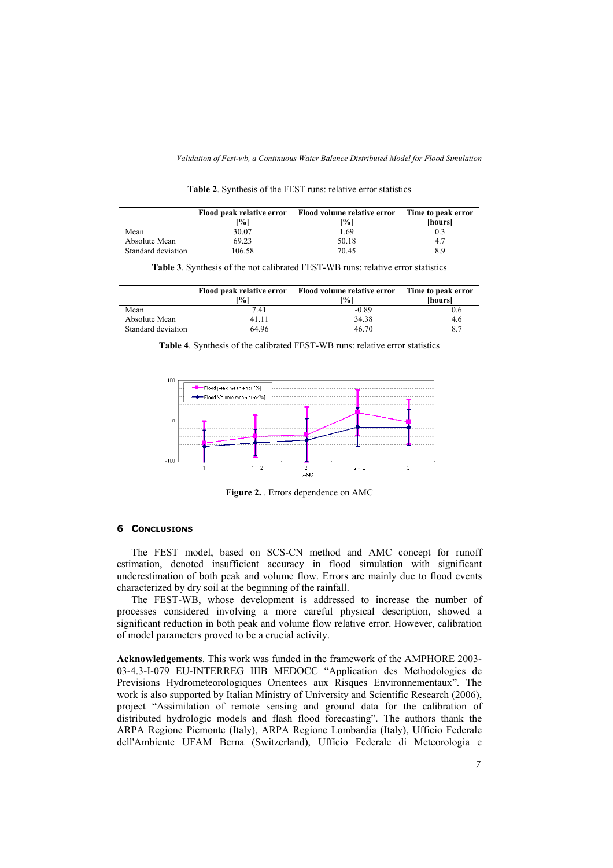|                    | Flood peak relative error<br><sup>10</sup> %] | Flood volume relative error<br>$\frac{10}{6}$ | Time to peak error<br><i>hoursl</i> |
|--------------------|-----------------------------------------------|-----------------------------------------------|-------------------------------------|
| Mean               | 30.07                                         | l.69                                          |                                     |
| Absolute Mean      | 69.23                                         | 50.18                                         | 4.7                                 |
| Standard deviation | 106.58                                        | 70.45                                         | 8.9                                 |

**Table 2**. Synthesis of the FEST runs: relative error statistics

**Table 3**. Synthesis of the not calibrated FEST-WB runs: relative error statistics

|                    | Flood peak relative error<br>[%] | Flood volume relative error<br>[%] | Time to peak error<br><i><b>Ihours</b></i> |
|--------------------|----------------------------------|------------------------------------|--------------------------------------------|
| Mean               | 7.41                             | $-0.89$                            | 0.6                                        |
| Absolute Mean      | 41.11                            | 34.38                              | 4.6                                        |
| Standard deviation | 64.96                            | 46.70                              | 8.7                                        |

**Table 4**. Synthesis of the calibrated FEST-WB runs: relative error statistics



**Figure 2.** . Errors dependence on AMC

## **6 CONCLUSIONS**

The FEST model, based on SCS-CN method and AMC concept for runoff estimation, denoted insufficient accuracy in flood simulation with significant underestimation of both peak and volume flow. Errors are mainly due to flood events characterized by dry soil at the beginning of the rainfall.

The FEST-WB, whose development is addressed to increase the number of processes considered involving a more careful physical description, showed a significant reduction in both peak and volume flow relative error. However, calibration of model parameters proved to be a crucial activity.

**Acknowledgements**. This work was funded in the framework of the AMPHORE 2003- 03-4.3-I-079 EU-INTERREG IIIB MEDOCC "Application des Methodologies de Previsions Hydrometeorologiques Orientees aux Risques Environnementaux". The work is also supported by Italian Ministry of University and Scientific Research (2006), project "Assimilation of remote sensing and ground data for the calibration of distributed hydrologic models and flash flood forecasting". The authors thank the ARPA Regione Piemonte (Italy), ARPA Regione Lombardia (Italy), Ufficio Federale dell'Ambiente UFAM Berna (Switzerland), Ufficio Federale di Meteorologia e